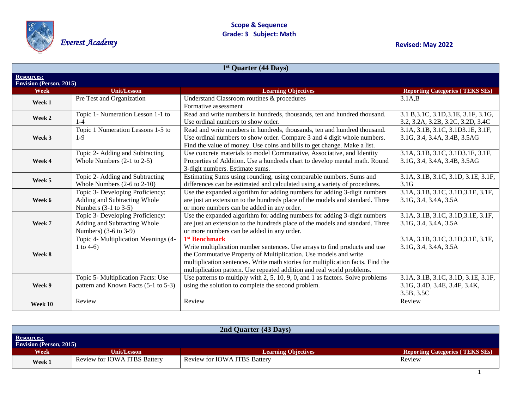

Everest Academy **Review Academy Revised: Math Revised: May 2022 Revised: May 2022** 

| $1st$ Quarter (44 Days)                       |                                                                                                |                                                                                                                                                                                                                                                                                                                                          |                                                                                    |
|-----------------------------------------------|------------------------------------------------------------------------------------------------|------------------------------------------------------------------------------------------------------------------------------------------------------------------------------------------------------------------------------------------------------------------------------------------------------------------------------------------|------------------------------------------------------------------------------------|
| <b>Resources:</b>                             |                                                                                                |                                                                                                                                                                                                                                                                                                                                          |                                                                                    |
| <b>Envision (Person, 2015)</b><br><b>Week</b> | <b>Unit/Lesson</b>                                                                             | <b>Learning Objectives</b>                                                                                                                                                                                                                                                                                                               | <b>Reporting Categories (TEKS SEs)</b>                                             |
| Week 1                                        | Pre Test and Organization                                                                      | Understand Classroom routines & procedures<br>Formative assessment                                                                                                                                                                                                                                                                       | $3.1A$ <sub>B</sub>                                                                |
| Week 2                                        | Topic 1- Numeration Lesson 1-1 to<br>$1 - 4$                                                   | Read and write numbers in hundreds, thousands, ten and hundred thousand.<br>Use ordinal numbers to show order.                                                                                                                                                                                                                           | 3.1 B, 3.1C, 3.1D, 3.1E, 3.1F, 3.1G,<br>3.2, 3.2A, 3.2B, 3.2C, 3.2D, 3.4C          |
| Week 3                                        | Topic 1 Numeration Lessons 1-5 to<br>$1-9$                                                     | Read and write numbers in hundreds, thousands, ten and hundred thousand.<br>Use ordinal numbers to show order. Compare 3 and 4 digit whole numbers.<br>Find the value of money. Use coins and bills to get change. Make a list.                                                                                                          | 3.1A, 3.1B, 3.1C, 3.1D3.1E, 3.1F,<br>3.1G, 3.4, 3.4A, 3.4B, 3.5AG                  |
| Week 4                                        | Topic 2- Adding and Subtracting<br>Whole Numbers $(2-1$ to $2-5)$                              | Use concrete materials to model Commutative, Associative, and Identity<br>Properties of Addition. Use a hundreds chart to develop mental math. Round<br>3-digit numbers. Estimate sums.                                                                                                                                                  | 3.1A, 3.1B, 3.1C, 3.1D3.1E, 3.1F,<br>3.1G, 3.4, 3.4A, 3.4B, 3.5AG                  |
| Week 5                                        | Topic 2- Adding and Subtracting<br>Whole Numbers $(2-6$ to $2-10)$                             | Estimating Sums using rounding, using comparable numbers. Sums and<br>differences can be estimated and calculated using a variety of procedures.                                                                                                                                                                                         | 3.1A, 3.1B, 3.1C, 3.1D, 3.1E, 3.1F,<br>3.1 <sub>G</sub>                            |
| Week 6                                        | Topic 3- Developing Proficiency:<br>Adding and Subtracting Whole<br>Numbers $(3-1)$ to $3-5$ ) | Use the expanded algorithm for adding numbers for adding 3-digit numbers<br>are just an extension to the hundreds place of the models and standard. Three<br>or more numbers can be added in any order.                                                                                                                                  | 3.1A, 3.1B, 3.1C, 3.1D, 3.1E, 3.1F,<br>3.1G, 3.4, 3.4A, 3.5A                       |
| Week 7                                        | Topic 3- Developing Proficiency:<br>Adding and Subtracting Whole<br>Numbers) (3-6 to 3-9)      | Use the expanded algorithm for adding numbers for adding 3-digit numbers<br>are just an extension to the hundreds place of the models and standard. Three<br>or more numbers can be added in any order.                                                                                                                                  | 3.1A, 3.1B, 3.1C, 3.1D, 3.1E, 3.1F,<br>3.1G, 3.4, 3.4A, 3.5A                       |
| Week 8                                        | Topic 4- Multiplication Meanings (4-<br>1 to 4-6)                                              | 1 <sup>st</sup> Benchmark<br>Write multiplication number sentences. Use arrays to find products and use<br>the Commutative Property of Multiplication. Use models and write<br>multiplication sentences. Write math stories for multiplication facts. Find the<br>multiplication pattern. Use repeated addition and real world problems. | 3.1A, 3.1B, 3.1C, 3.1D, 3.1E, 3.1F,<br>3.1G, 3.4, 3.4A, 3.5A                       |
| Week 9                                        | Topic 5- Multiplication Facts: Use<br>pattern and Known Facts (5-1 to 5-3)                     | Use patterns to multiply with $2, 5, 10, 9, 0,$ and 1 as factors. Solve problems<br>using the solution to complete the second problem.                                                                                                                                                                                                   | 3.1A, 3.1B, 3.1C, 3.1D, 3.1E, 3.1F,<br>3.1G, 3.4D, 3.4E, 3.4F, 3.4K,<br>3.5B, 3.5C |
| Week 10                                       | Review                                                                                         | Review                                                                                                                                                                                                                                                                                                                                   | Review                                                                             |

| 2nd Quarter (43 Days)                               |                              |                              |                                        |  |
|-----------------------------------------------------|------------------------------|------------------------------|----------------------------------------|--|
| <b>Resources:</b><br><b>Envision (Person, 2015)</b> |                              |                              |                                        |  |
| Week                                                | <b>Unit/Lesson</b>           | <b>Learning Objectives</b>   | <b>Reporting Categories (TEKS SEs)</b> |  |
| Week 1                                              | Review for IOWA ITBS Battery | Review for IOWA ITBS Battery | Review                                 |  |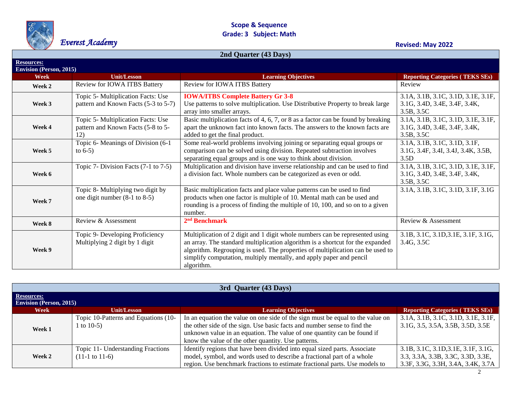

## **Scope & Sequence Grade: 3 Subject: Math** Everest Academy **Review Community Construction Construction** Grade: 3 Subject: Math

| 2nd Quarter (43 Days)                         |                                                                                 |                                                                                                                                                                                                                                                                                                                                       |                                                                                    |
|-----------------------------------------------|---------------------------------------------------------------------------------|---------------------------------------------------------------------------------------------------------------------------------------------------------------------------------------------------------------------------------------------------------------------------------------------------------------------------------------|------------------------------------------------------------------------------------|
| <b>Resources:</b>                             |                                                                                 |                                                                                                                                                                                                                                                                                                                                       |                                                                                    |
| <b>Envision (Person, 2015)</b><br><b>Week</b> | <b>Unit/Lesson</b>                                                              | <b>Learning Objectives</b>                                                                                                                                                                                                                                                                                                            | <b>Reporting Categories (TEKS SEs)</b>                                             |
| Week 2                                        | Review for IOWA ITBS Battery                                                    | Review for IOWA ITBS Battery                                                                                                                                                                                                                                                                                                          | Review                                                                             |
| Week 3                                        | Topic 5- Multiplication Facts: Use<br>pattern and Known Facts (5-3 to 5-7)      | <b>IOWA/ITBS Complete Battery Gr 3-8</b><br>Use patterns to solve multiplication. Use Distributive Property to break large<br>array into smaller arrays.                                                                                                                                                                              | 3.1A, 3.1B, 3.1C, 3.1D, 3.1E, 3.1F,<br>3.1G, 3.4D, 3.4E, 3.4F, 3.4K,<br>3.5B, 3.5C |
| Week 4                                        | Topic 5- Multiplication Facts: Use<br>pattern and Known Facts (5-8 to 5-<br>12) | Basic multiplication facts of 4, 6, 7, or 8 as a factor can be found by breaking<br>apart the unknown fact into known facts. The answers to the known facts are<br>added to get the final product.                                                                                                                                    | 3.1A, 3.1B, 3.1C, 3.1D, 3.1E, 3.1F,<br>3.1G, 3.4D, 3.4E, 3.4F, 3.4K,<br>3.5B, 3.5C |
| Week 5                                        | Topic 6- Meanings of Division (6-1)<br>to $6-5$ )                               | Some real-world problems involving joining or separating equal groups or<br>comparison can be solved using division. Repeated subtraction involves<br>separating equal groups and is one way to think about division.                                                                                                                 | 3.1A, 3.1B, 3.1C, 3.1D, 3.1F,<br>3.1G, 3.4F, 3.4I, 3.4J, 3.4K, 3.5B,<br>3.5D       |
| Week 6                                        | Topic 7- Division Facts $(7-1)$ to $7-5$ )                                      | Multiplication and division have inverse relationship and can be used to find<br>a division fact. Whole numbers can be categorized as even or odd.                                                                                                                                                                                    | 3.1A, 3.1B, 3.1C, 3.1D, 3.1E, 3.1F,<br>3.1G, 3.4D, 3.4E, 3.4F, 3.4K,<br>3.5B, 3.5C |
| Week 7                                        | Topic 8- Multiplying two digit by<br>one digit number $(8-1)$ to $8-5$ )        | Basic multiplication facts and place value patterns can be used to find<br>products when one factor is multiple of 10. Mental math can be used and<br>rounding is a process of finding the multiple of 10, 100, and so on to a given<br>number.                                                                                       | 3.1A, 3.1B, 3.1C, 3.1D, 3.1F, 3.1G                                                 |
| Week 8                                        | Review & Assessment                                                             | $2nd$ Benchmark                                                                                                                                                                                                                                                                                                                       | Review & Assessment                                                                |
| Week 9                                        | Topic 9- Developing Proficiency<br>Multiplying 2 digit by 1 digit               | Multiplication of 2 digit and 1 digit whole numbers can be represented using<br>an array. The standard multiplication algorithm is a shortcut for the expanded<br>algorithm. Regrouping is used. The properties of multiplication can be used to<br>simplify computation, multiply mentally, and apply paper and pencil<br>algorithm. | 3.1B, 3.1C, 3.1D, 3.1E, 3.1F, 3.1G,<br>3.4G, 3.5C                                  |

| 3rd Quarter (43 Days)                        |                                      |                                                                                |                                        |
|----------------------------------------------|--------------------------------------|--------------------------------------------------------------------------------|----------------------------------------|
| Resources:<br><b>Envision (Person, 2015)</b> |                                      |                                                                                |                                        |
| Week                                         | <b>Unit/Lesson</b>                   | <b>Learning Objectives</b>                                                     | <b>Reporting Categories (TEKS SEs)</b> |
| Week 1                                       | Topic 10-Patterns and Equations (10- | In an equation the value on one side of the sign must be equal to the value on | 3.1A, 3.1B, 3.1C, 3.1D, 3.1E, 3.1F,    |
|                                              | 1 to $10-5$ )                        | the other side of the sign. Use basic facts and number sense to find the       | 3.1G, 3.5, 3.5A, 3.5B, 3.5D, 3.5E      |
|                                              |                                      | unknown value in an equation. The value of one quantity can be found if        |                                        |
|                                              |                                      | know the value of the other quantity. Use patterns.                            |                                        |
| Week 2                                       | Topic 11- Understanding Fractions    | Identify regions that have been divided into equal sized parts. Associate      | 3.1B, 3.1C, 3.1D, 3.1E, 3.1F, 3.1G,    |
|                                              | $(11-1 \text{ to } 11-6)$            | model, symbol, and words used to describe a fractional part of a whole         | 3.3, 3.3A, 3.3B, 3.3C, 3.3D, 3.3E,     |
|                                              |                                      | region. Use benchmark fractions to estimate fractional parts. Use models to    | 3.3F, 3.3G, 3.3H, 3.4A, 3.4K, 3.7A     |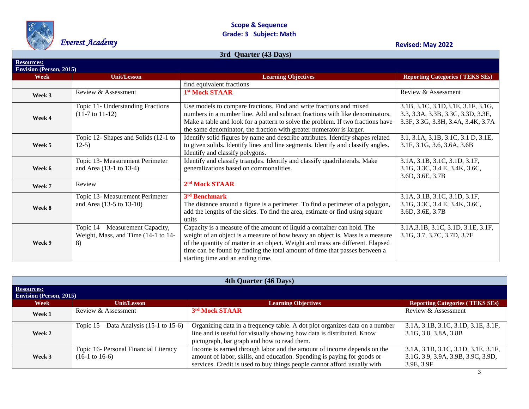

### **Scope & Sequence Grade: 3 Subject: Math**

# Everest Academy **Revised: May 2022**

| 3rd Quarter (43 Days)<br><b>Resources:</b> |                                                                               |                                                                                                                                                                                                                                                                                                                                                                |                                                                                                                 |  |
|--------------------------------------------|-------------------------------------------------------------------------------|----------------------------------------------------------------------------------------------------------------------------------------------------------------------------------------------------------------------------------------------------------------------------------------------------------------------------------------------------------------|-----------------------------------------------------------------------------------------------------------------|--|
|                                            |                                                                               |                                                                                                                                                                                                                                                                                                                                                                |                                                                                                                 |  |
|                                            |                                                                               | find equivalent fractions                                                                                                                                                                                                                                                                                                                                      |                                                                                                                 |  |
| Week 3                                     | Review & Assessment                                                           | 1 <sup>st</sup> Mock STAAR                                                                                                                                                                                                                                                                                                                                     | Review & Assessment                                                                                             |  |
| Week 4                                     | Topic 11- Understanding Fractions<br>$(11-7 \text{ to } 11-12)$               | Use models to compare fractions. Find and write fractions and mixed<br>numbers in a number line. Add and subtract fractions with like denominators.<br>Make a table and look for a pattern to solve the problem. If two fractions have<br>the same denominator, the fraction with greater numerator is larger.                                                 | 3.1B, 3.1C, 3.1D, 3.1E, 3.1F, 3.1G,<br>3.3, 3.3A, 3.3B, 3.3C, 3.3D, 3.3E,<br>3.3F, 3.3G, 3.3H, 3.4A, 3.4K, 3.7A |  |
| Week 5                                     | Topic 12- Shapes and Solids (12-1 to<br>$12-5)$                               | Identify solid figures by name and describe attributes. Identify shapes related<br>to given solids. Identify lines and line segments. Identify and classify angles.<br>Identify and classify polygons.                                                                                                                                                         | 3.1, 3.1A, 3.1B, 3.1C, 3.1 D, 3.1E,<br>3.1F, 3.1G, 3.6, 3.6A, 3.6B                                              |  |
| Week 6                                     | Topic 13- Measurement Perimeter<br>and Area (13-1 to 13-4)                    | Identify and classify triangles. Identify and classify quadrilaterals. Make<br>generalizations based on commonalities.                                                                                                                                                                                                                                         | 3.1A, 3.1B, 3.1C, 3.1D, 3.1F,<br>3.1G, 3.3C, 3.4 E, 3.4K, 3.6C,<br>3.6D, 3.6E, 3.7B                             |  |
| Week 7                                     | Review                                                                        | 2 <sup>nd</sup> Mock STAAR                                                                                                                                                                                                                                                                                                                                     |                                                                                                                 |  |
| Week 8                                     | Topic 13- Measurement Perimeter<br>and Area (13-5 to 13-10)                   | 3rd Benchmark<br>The distance around a figure is a perimeter. To find a perimeter of a polygon,<br>add the lengths of the sides. To find the area, estimate or find using square<br>units                                                                                                                                                                      | 3.1A, 3.1B, 3.1C, 3.1D, 3.1F,<br>3.1G, 3.3C, 3.4 E, 3.4K, 3.6C,<br>3.6D, 3.6E, 3.7B                             |  |
| Week 9                                     | Topic 14 – Measurement Capacity,<br>Weight, Mass, and Time (14-1 to 14-<br>8) | Capacity is a measure of the amount of liquid a container can hold. The<br>weight of an object is a measure of how heavy an object is. Mass is a measure<br>of the quantity of matter in an object. Weight and mass are different. Elapsed<br>time can be found by finding the total amount of time that passes between a<br>starting time and an ending time. | 3.1A, 3.1B, 3.1C, 3.1D, 3.1E, 3.1F,<br>3.1G, 3.7, 3.7C, 3.7D, 3.7E                                              |  |

| 4th Quarter (46 Days)                               |                                                                    |                                                                                                                                                                                                                               |                                                                                         |
|-----------------------------------------------------|--------------------------------------------------------------------|-------------------------------------------------------------------------------------------------------------------------------------------------------------------------------------------------------------------------------|-----------------------------------------------------------------------------------------|
| <b>Resources:</b><br><b>Envision (Person, 2015)</b> |                                                                    |                                                                                                                                                                                                                               |                                                                                         |
| Week                                                | <b>Unit/Lesson</b>                                                 | <b>Learning Objectives</b>                                                                                                                                                                                                    | <b>Reporting Categories (TEKS SEs)</b>                                                  |
| Week 1                                              | Review & Assessment                                                | 3rd Mock STAAR                                                                                                                                                                                                                | Review & Assessment                                                                     |
| Week 2                                              | Topic $15 - Data Analysis (15-1 to 15-6)$                          | Organizing data in a frequency table. A dot plot organizes data on a number<br>line and is useful for visually showing how data is distributed. Know<br>pictograph, bar graph and how to read them.                           | 3.1A, 3.1B, 3.1C, 3.1D, 3.1E, 3.1F,<br>3.1G, 3.8, 3.8A, 3.8B                            |
| Week 3                                              | Topic 16- Personal Financial Literacy<br>$(16-1 \text{ to } 16-6)$ | Income is earned through labor and the amount of income depends on the<br>amount of labor, skills, and education. Spending is paying for goods or<br>services. Credit is used to buy things people cannot afford usually with | 3.1A, 3.1B, 3.1C, 3.1D, 3.1E, 3.1F,<br>3.1G, 3.9, 3.9A, 3.9B, 3.9C, 3.9D,<br>3.9E, 3.9F |